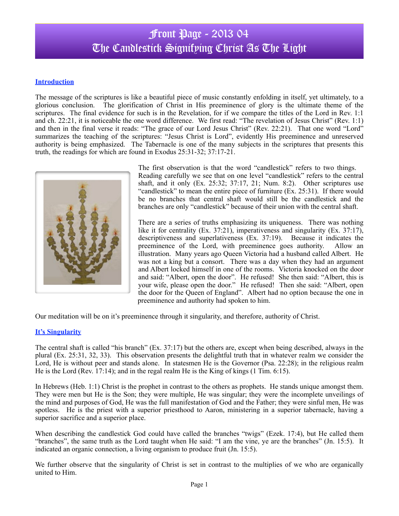### **Introduction**

The message of the scriptures is like a beautiful piece of music constantly enfolding in itself, yet ultimately, to a glorious conclusion. The glorification of Christ in His preeminence of glory is the ultimate theme of the scriptures. The final evidence for such is in the Revelation, for if we compare the titles of the Lord in Rev. 1:1 and ch. 22:21, it is noticeable the one word difference. We first read: "The revelation of Jesus Christ" (Rev. 1:1) and then in the final verse it reads: "The grace of our Lord Jesus Christ" (Rev. 22:21). That one word "Lord" summarizes the teaching of the scriptures: "Jesus Christ is Lord", evidently His preeminence and unreserved authority is being emphasized. The Tabernacle is one of the many subjects in the scriptures that presents this truth, the readings for which are found in Exodus 25:31-32; 37:17-21.



The first observation is that the word "candlestick" refers to two things. Reading carefully we see that on one level "candlestick" refers to the central shaft, and it only (Ex. 25:32; 37:17, 21; Num. 8:2). Other scriptures use "candlestick" to mean the entire piece of furniture (Ex. 25:31). If there would be no branches that central shaft would still be the candlestick and the branches are only "candlestick" because of their union with the central shaft.

There are a series of truths emphasizing its uniqueness. There was nothing like it for centrality (Ex. 37:21), imperativeness and singularity (Ex. 37:17), descriptiveness and superlativeness (Ex. 37:19). Because it indicates the preeminence of the Lord, with preeminence goes authority. Allow an illustration. Many years ago Queen Victoria had a husband called Albert. He was not a king but a consort. There was a day when they had an argument and Albert locked himself in one of the rooms. Victoria knocked on the door and said: "Albert, open the door". He refused! She then said: "Albert, this is your wife, please open the door." He refused! Then she said: "Albert, open the door for the Queen of England". Albert had no option because the one in preeminence and authority had spoken to him.

Our meditation will be on it's preeminence through it singularity, and therefore, authority of Christ.

### **It's Singularity**

The central shaft is called "his branch" (Ex. 37:17) but the others are, except when being described, always in the plural (Ex. 25:31, 32, 33). This observation presents the delightful truth that in whatever realm we consider the Lord, He is without peer and stands alone. In statesmen He is the Governor (Psa. 22:28); in the religious realm He is the Lord (Rev. 17:14); and in the regal realm He is the King of kings (1 Tim. 6:15).

In Hebrews (Heb. 1:1) Christ is the prophet in contrast to the others as prophets. He stands unique amongst them. They were men but He is the Son; they were multiple, He was singular; they were the incomplete unveilings of the mind and purposes of God, He was the full manifestation of God and the Father; they were sinful men, He was spotless. He is the priest with a superior priesthood to Aaron, ministering in a superior tabernacle, having a superior sacrifice and a superior place.

When describing the candlestick God could have called the branches "twigs" (Ezek. 17:4), but He called them "branches", the same truth as the Lord taught when He said: "I am the vine, ye are the branches" (Jn. 15:5). It indicated an organic connection, a living organism to produce fruit (Jn. 15:5).

We further observe that the singularity of Christ is set in contrast to the multiplies of we who are organically united to Him.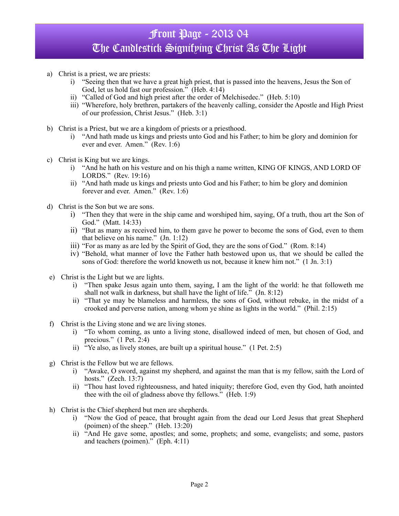- a) Christ is a priest, we are priests:
	- i) "Seeing then that we have a great high priest, that is passed into the heavens, Jesus the Son of God, let us hold fast our profession." (Heb. 4:14)
	- ii) "Called of God and high priest after the order of Melchisedec." (Heb. 5:10)
	- iii) "Wherefore, holy brethren, partakers of the heavenly calling, consider the Apostle and High Priest of our profession, Christ Jesus." (Heb. 3:1)
- b) Christ is a Priest, but we are a kingdom of priests or a priesthood.
	- i) "And hath made us kings and priests unto God and his Father; to him be glory and dominion for ever and ever. Amen." (Rev. 1:6)
- c) Christ is King but we are kings.
	- i) "And he hath on his vesture and on his thigh a name written, KING OF KINGS, AND LORD OF LORDS." (Rev. 19:16)
	- ii) "And hath made us kings and priests unto God and his Father; to him be glory and dominion forever and ever. Amen." (Rev. 1:6)
- d) Christ is the Son but we are sons.
	- i) "Then they that were in the ship came and worshiped him, saying, Of a truth, thou art the Son of God." (Matt. 14:33)
	- ii) "But as many as received him, to them gave he power to become the sons of God, even to them that believe on his name."  $(In. 1:12)$
	- iii) "For as many as are led by the Spirit of God, they are the sons of God." (Rom. 8:14)
	- iv) "Behold, what manner of love the Father hath bestowed upon us, that we should be called the sons of God: therefore the world knoweth us not, because it knew him not." (1 Jn. 3:1)
- e) Christ is the Light but we are lights.
	- i) "Then spake Jesus again unto them, saying, I am the light of the world: he that followeth me shall not walk in darkness, but shall have the light of life." (Jn. 8:12)
	- ii) "That ye may be blameless and harmless, the sons of God, without rebuke, in the midst of a crooked and perverse nation, among whom ye shine as lights in the world." (Phil. 2:15)
- f) Christ is the Living stone and we are living stones.
	- i) "To whom coming, as unto a living stone, disallowed indeed of men, but chosen of God, and precious." (1 Pet. 2:4)
	- ii) "Ye also, as lively stones, are built up a spiritual house." (1 Pet. 2:5)
- g) Christ is the Fellow but we are fellows.
	- i) "Awake, O sword, against my shepherd, and against the man that is my fellow, saith the Lord of hosts." (Zech. 13:7)
	- ii) "Thou hast loved righteousness, and hated iniquity; therefore God, even thy God, hath anointed thee with the oil of gladness above thy fellows." (Heb. 1:9)
- h) Christ is the Chief shepherd but men are shepherds.
	- i) "Now the God of peace, that brought again from the dead our Lord Jesus that great Shepherd (poimen) of the sheep." (Heb. 13:20)
	- ii) "And He gave some, apostles; and some, prophets; and some, evangelists; and some, pastors and teachers (poimen)." (Eph. 4:11)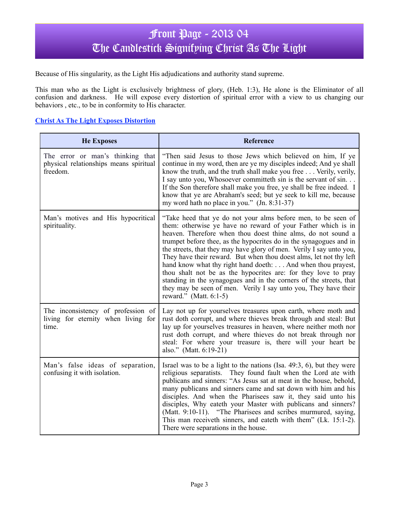Because of His singularity, as the Light His adjudications and authority stand supreme.

This man who as the Light is exclusively brightness of glory, (Heb. 1:3), He alone is the Eliminator of all confusion and darkness. He will expose every distortion of spiritual error with a view to us changing our behaviors , etc., to be in conformity to His character.

#### **Christ As The Light Exposes Distortion**

| <b>He Exposes</b>                                                                      | Reference                                                                                                                                                                                                                                                                                                                                                                                                                                                                                                                                                                                                                                                                                                             |
|----------------------------------------------------------------------------------------|-----------------------------------------------------------------------------------------------------------------------------------------------------------------------------------------------------------------------------------------------------------------------------------------------------------------------------------------------------------------------------------------------------------------------------------------------------------------------------------------------------------------------------------------------------------------------------------------------------------------------------------------------------------------------------------------------------------------------|
| The error or man's thinking that<br>physical relationships means spiritual<br>freedom. | "Then said Jesus to those Jews which believed on him, If ye<br>continue in my word, then are ye my disciples indeed; And ye shall<br>know the truth, and the truth shall make you free Verily, verily,<br>I say unto you, Whosoever committed sin is the servant of sin.<br>If the Son therefore shall make you free, ye shall be free indeed. I<br>know that ye are Abraham's seed; but ye seek to kill me, because<br>my word hath no place in you." (Jn. 8:31-37)                                                                                                                                                                                                                                                  |
| Man's motives and His hypocritical<br>spirituality.                                    | "Take heed that ye do not your alms before men, to be seen of<br>them: otherwise ye have no reward of your Father which is in<br>heaven. Therefore when thou doest thine alms, do not sound a<br>trumpet before thee, as the hypocrites do in the synagogues and in<br>the streets, that they may have glory of men. Verily I say unto you,<br>They have their reward. But when thou doest alms, let not thy left<br>hand know what thy right hand doeth: And when thou prayest,<br>thou shalt not be as the hypocrites are: for they love to pray<br>standing in the synagogues and in the corners of the streets, that<br>they may be seen of men. Verily I say unto you, They have their<br>reward." (Matt. 6:1-5) |
| The inconsistency of profession of<br>living for eternity when living for<br>time.     | Lay not up for yourselves treasures upon earth, where moth and<br>rust doth corrupt, and where thieves break through and steal: But<br>lay up for yourselves treasures in heaven, where neither moth nor<br>rust doth corrupt, and where thieves do not break through nor<br>steal: For where your treasure is, there will your heart be<br>also." (Matt. 6:19-21)                                                                                                                                                                                                                                                                                                                                                    |
| Man's false ideas of separation,<br>confusing it with isolation.                       | Israel was to be a light to the nations (Isa. $49:3$ , 6), but they were<br>religious separatists. They found fault when the Lord ate with<br>publicans and sinners: "As Jesus sat at meat in the house, behold,<br>many publicans and sinners came and sat down with him and his<br>disciples. And when the Pharisees saw it, they said unto his<br>disciples, Why eateth your Master with publicans and sinners?<br>(Matt. 9:10-11). "The Pharisees and scribes murmured, saying,<br>This man receiveth sinners, and eateth with them" (Lk. 15:1-2).<br>There were separations in the house.                                                                                                                        |